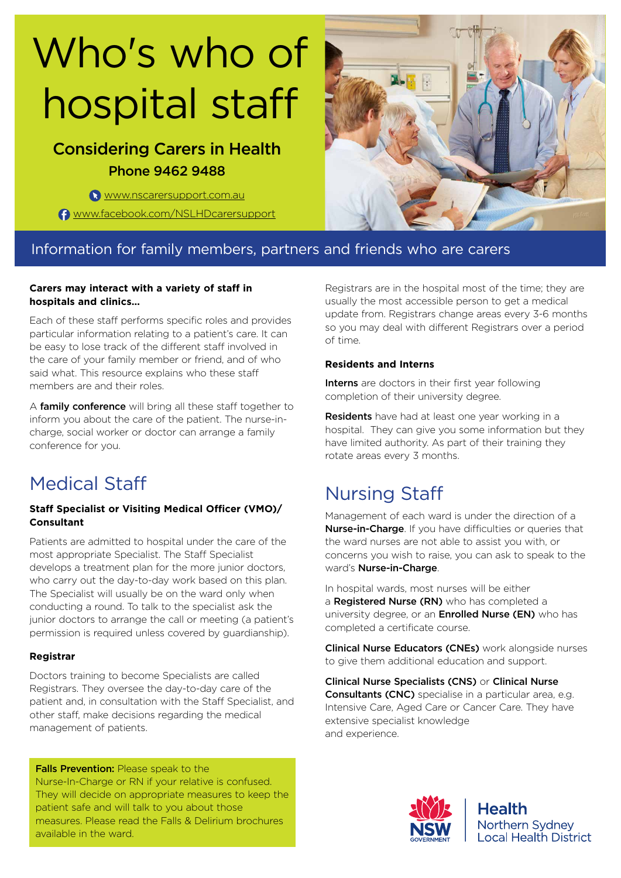# Who's who of hospital staff

## Considering Carers in Health Phone 9462 9488

www.nscarersupport.com.au

**f** www.facebook.com/NSLHDcarersupport



### Information for family members, partners and friends who are carers

#### **Carers may interact with a variety of staff in hospitals and clinics…**

Each of these staff performs specific roles and provides particular information relating to a patient's care. It can be easy to lose track of the different staff involved in the care of your family member or friend, and of who said what. This resource explains who these staff members are and their roles.

A family conference will bring all these staff together to inform you about the care of the patient. The nurse-incharge, social worker or doctor can arrange a family conference for you.

## Medical Staff

#### **Staff Specialist or Visiting Medical Officer (VMO)/ Consultant**

Patients are admitted to hospital under the care of the most appropriate Specialist. The Staff Specialist develops a treatment plan for the more junior doctors, who carry out the day-to-day work based on this plan. The Specialist will usually be on the ward only when conducting a round. To talk to the specialist ask the junior doctors to arrange the call or meeting (a patient's permission is required unless covered by guardianship).

#### **Registrar**

Doctors training to become Specialists are called Registrars. They oversee the day-to-day care of the patient and, in consultation with the Staff Specialist, and other staff, make decisions regarding the medical management of patients.

Falls Prevention: Please speak to the Nurse-In-Charge or RN if your relative is confused. They will decide on appropriate measures to keep the patient safe and will talk to you about those measures. Please read the Falls & Delirium brochures available in the ward.

Registrars are in the hospital most of the time; they are usually the most accessible person to get a medical update from. Registrars change areas every 3-6 months so you may deal with different Registrars over a period of time.

#### **Residents and Interns**

Interns are doctors in their first year following completion of their university degree.

Residents have had at least one year working in a hospital. They can give you some information but they have limited authority. As part of their training they rotate areas every 3 months.

## Nursing Staff

Management of each ward is under the direction of a Nurse-in-Charge. If you have difficulties or queries that the ward nurses are not able to assist you with, or concerns you wish to raise, you can ask to speak to the ward's **Nurse-in-Charge**.

In hospital wards, most nurses will be either a Registered Nurse (RN) who has completed a university degree, or an **Enrolled Nurse (EN)** who has completed a certificate course.

Clinical Nurse Educators (CNEs) work alongside nurses to give them additional education and support.

Clinical Nurse Specialists (CNS) or Clinical Nurse Consultants (CNC) specialise in a particular area, e.g. Intensive Care, Aged Care or Cancer Care. They have extensive specialist knowledge and experience.



**Health** Northern Sydney **Local Health District**